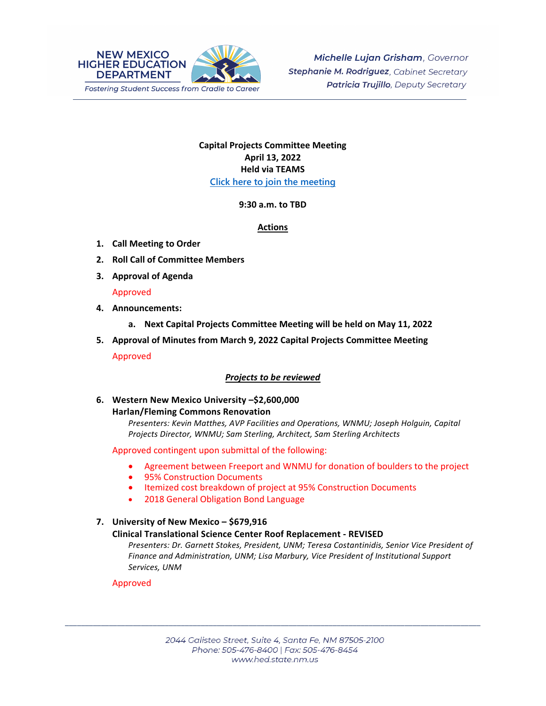

# **Capital Projects Committee Meeting April 13, 2022 Held via TEAMS [Click here to join the meeting](https://teams.microsoft.com/l/meetup-join/19%3ameeting_N2Y3ZjAzNTctYjk4ZC00ZDAxLTkxZWMtMjFjMGJjOTM1MTU2%40thread.v2/0?context=%7b%22Tid%22%3a%2204aa6bf4-d436-426f-bfa4-04b7a70e60ff%22%2c%22Oid%22%3a%222844ecea-db84-4cd8-97b7-9d410f1aa07b%22%7d)**

## **9:30 a.m. to TBD**

## **Actions**

- **1. Call Meeting to Order**
- **2. Roll Call of Committee Members**
- **3. Approval of Agenda**

## Approved

- **4. Announcements:**
	- **a. Next Capital Projects Committee Meeting will be held on May 11, 2022**
- **5. Approval of Minutes from March 9, 2022 Capital Projects Committee Meeting** Approved

# *Projects to be reviewed*

## **6. Western New Mexico University –\$2,600,000 Harlan/Fleming Commons Renovation**

*Presenters: Kevin Matthes, AVP Facilities and Operations, WNMU; Joseph Holguin, Capital Projects Director, WNMU; Sam Sterling, Architect, Sam Sterling Architects*

Approved contingent upon submittal of the following:

- Agreement between Freeport and WNMU for donation of boulders to the project
- 95% Construction Documents
- Itemized cost breakdown of project at 95% Construction Documents
- 2018 General Obligation Bond Language

#### **7. University of New Mexico – \$679,916 Clinical Translational Science Center Roof Replacement - REVISED**

*Presenters: Dr. Garnett Stokes, President, UNM; Teresa Costantinidis, Senior Vice President of Finance and Administration, UNM; Lisa Marbury, Vice President of Institutional Support Services, UNM* 

## Approved

\_\_\_\_\_\_\_\_\_\_\_\_\_\_\_\_\_\_\_\_\_\_\_\_\_\_\_\_\_\_\_\_\_\_\_\_\_\_\_\_\_\_\_\_\_\_\_\_\_\_\_\_\_\_\_\_\_\_\_\_\_\_\_\_\_\_\_\_\_\_\_\_\_\_\_\_\_\_\_\_\_\_\_\_\_\_\_\_\_\_\_\_\_\_\_\_\_\_\_\_\_\_\_\_